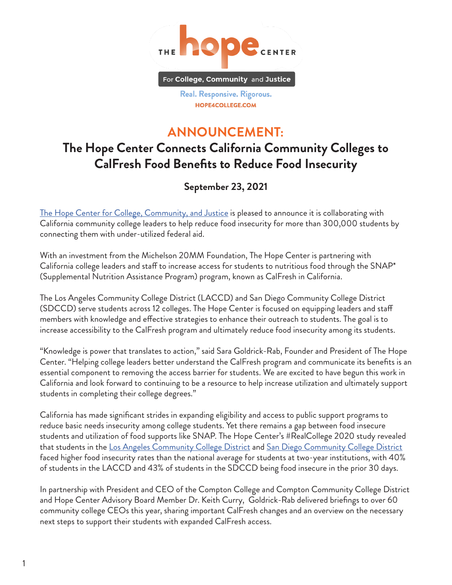

Real. Responsive. Rigorous. HOPE4COLLEGE.COM

## **ANNOUNCEMENT:**

# **The Hope Center Connects California Community Colleges to CalFresh Food Benefits to Reduce Food Insecurity**

## **September 23, 2021**

[The Hope Center for College, Community, and Justice](https://hope4college.com/) is pleased to announce it is collaborating with California community college leaders to help reduce food insecurity for more than 300,000 students by connecting them with under-utilized federal aid.

With an investment from the Michelson 20MM Foundation, The Hope Center is partnering with California college leaders and staff to increase access for students to nutritious food through the SNAP\* (Supplemental Nutrition Assistance Program) program, known as CalFresh in California.

The Los Angeles Community College District (LACCD) and San Diego Community College District (SDCCD) serve students across 12 colleges. The Hope Center is focused on equipping leaders and staff members with knowledge and effective strategies to enhance their outreach to students. The goal is to increase accessibility to the CalFresh program and ultimately reduce food insecurity among its students.

"Knowledge is power that translates to action," said Sara Goldrick-Rab, Founder and President of The Hope Center. "Helping college leaders better understand the CalFresh program and communicate its benefits is an essential component to removing the access barrier for students. We are excited to have begun this work in California and look forward to continuing to be a resource to help increase utilization and ultimately support students in completing their college degrees."

California has made significant strides in expanding eligibility and access to public support programs to reduce basic needs insecurity among college students. Yet there remains a gap between food insecure students and utilization of food supports like SNAP. The Hope Center's #RealCollege 2020 study revealed that students in the [Los Angeles Community College District](https://hope4college.com/wp-content/uploads/2021/03/LACCD_OnePager_RCSurvey_March2021.pdf) and [San Diego Community College District](https://hope4college.com/wp-content/uploads/2021/03/SDCCD_OnePager_RCSurvey_March2021.pdf) faced higher food insecurity rates than the national average for students at two-year institutions, with 40% of students in the LACCD and 43% of students in the SDCCD being food insecure in the prior 30 days.

In partnership with President and CEO of the Compton College and Compton Community College District and Hope Center Advisory Board Member Dr. Keith Curry, Goldrick-Rab delivered briefings to over 60 community college CEOs this year, sharing important CalFresh changes and an overview on the necessary next steps to support their students with expanded CalFresh access.